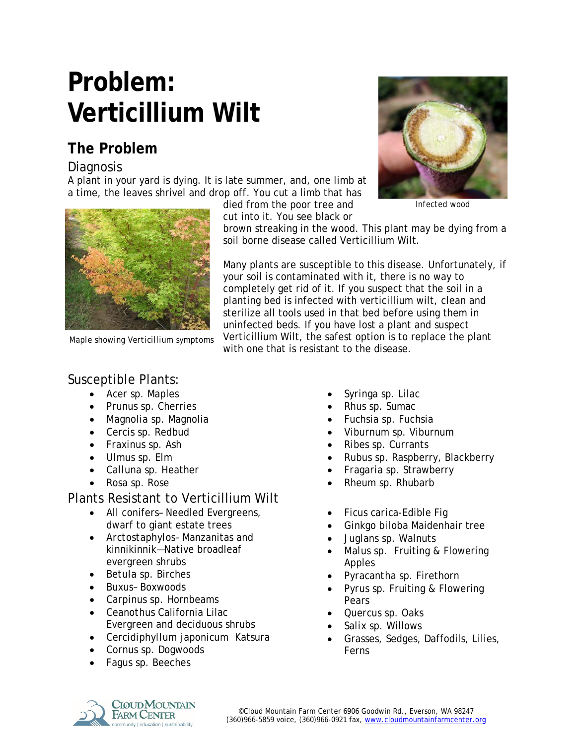# **Problem: Verticillium Wilt**

# **The Problem**

#### **Diagnosis**

A plant in your yard is dying. It is late summer, and, one limb at a time, the leaves shrivel and drop off. You cut a limb that has



*Maple showing Verticillium symptoms*

died from the poor tree and cut into it. You see black or



*Infected wood*

brown streaking in the wood. This plant may be dying from a soil borne disease called Verticillium Wilt.

Many plants are susceptible to this disease. Unfortunately, if your soil is contaminated with it, there is no way to completely get rid of it. If you suspect that the soil in a planting bed is infected with verticillium wilt, clean and sterilize all tools used in that bed before using them in uninfected beds. If you have lost a plant and suspect Verticillium Wilt, the safest option is to replace the plant with one that is resistant to the disease.

## Susceptible Plants:

- *Acer sp.* Maples
- *Prunus sp.* Cherries
- *Magnolia sp.* Magnolia
- *Cercis sp.* Redbud
- *Fraxinus sp.* Ash
- *Ulmus sp.* Elm
- *Calluna sp.* Heather
- *Rosa sp.* Rose

### Plants Resistant to Verticillium Wilt

- All conifers- Needled Evergreens, dwarf to giant estate trees
- *Arctostaphylos* Manzanitas and kinnikinnik—Native broadleaf evergreen shrubs
- *Betula sp.* Birches
- *Buxus* Boxwoods
- *Carpinus sp.* Hornbeams
- *Ceanothus* California Lilac Evergreen and deciduous shrubs
- *Cercidiphyllum japonicum* Katsura
- *Cornus sp.* Dogwoods
- *Fagus sp.* Beeches
- *Syringa sp.* Lilac
- *Rhus sp.* Sumac
- *Fuchsia sp.* Fuchsia
- *Viburnum sp.* Viburnum
- *Ribes sp.* Currants
- *Rubus sp.* Raspberry, Blackberry
- *Fragaria sp.* Strawberry
- *Rheum sp.* Rhubarb
- *Ficus carica*-Edible Fig
- *Ginkgo biloba* Maidenhair tree
- *Juglans sp.* Walnuts
- *Malus sp.* Fruiting & Flowering Apples
- *Pyracantha sp.* Firethorn
- *Pyrus sp.* Fruiting & Flowering Pears
- *Quercus sp.* Oaks
- *Salix sp.* Willows
- Grasses, Sedges, Daffodils, Lilies, Ferns